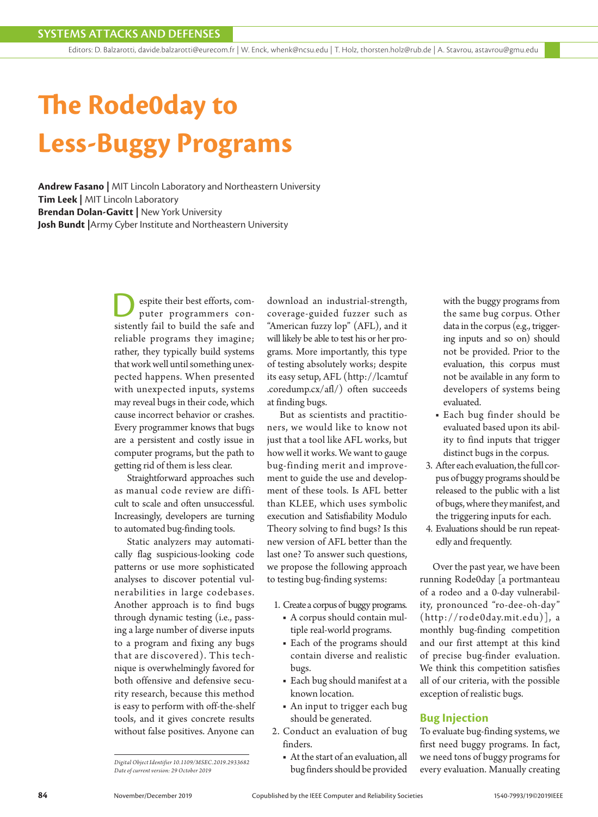Editors: D. Balzarotti, davide.balzarotti@eurecom.fr | W. Enck, whenk@ncsu.edu | T. Holz, thorsten.holz@rub.de | A. Stavrou, astavrou@gmu.edu

# **The Rode0day to Less-Buggy Programs**

**Andrew Fasano |** MIT Lincoln Laboratory and Northeastern University **Tim Leek |** MIT Lincoln Laboratory **Brendan Dolan-Gavitt |** New York University **Josh Bundt |**Army Cyber Institute and Northeastern University

> espite their best efforts, computer programmers consistently fail to build the safe and reliable programs they imagine; rather, they typically build systems that work well until something unexpected happens. When presented with unexpected inputs, systems may reveal bugs in their code, which cause incorrect behavior or crashes. Every programmer knows that bugs are a persistent and costly issue in computer programs, but the path to getting rid of them is less clear.

> Straightforward approaches such as manual code review are difficult to scale and often unsuccessful. Increasingly, developers are turning to automated bug-finding tools.

> Static analyzers may automatically flag suspicious-looking code patterns or use more sophisticated analyses to discover potential vulnerabilities in large codebases. Another approach is to find bugs through dynamic testing (i.e., passing a large number of diverse inputs to a program and fixing any bugs that are discovered). This technique is overwhelmingly favored for both offensive and defensive security research, because this method is easy to perform with off-the-shelf tools, and it gives concrete results without false positives. Anyone can

*Date of current version: 29 October 2019*

download an industrial-strength, coverage-guided fuzzer such as "American fuzzy lop" (AFL), and it will likely be able to test his or her programs. More importantly, this type of testing absolutely works; despite its easy setup, AFL (http://lcamtuf .coredump.cx/afl/) often succeeds at finding bugs.

But as scientists and practitioners, we would like to know not just that a tool like AFL works, but how well it works. We want to gauge bug-finding merit and improvement to guide the use and development of these tools. Is AFL better than KLEE, which uses symbolic execution and Satisfiability Modulo Theory solving to find bugs? Is this new version of AFL better than the last one? To answer such questions, we propose the following approach to testing bug-finding systems:

- 1. Create a corpus of buggy programs.
	- A corpus should contain multiple real-world programs.
	- Each of the programs should contain diverse and realistic bugs.
	- Each bug should manifest at a known location.
	- An input to trigger each bug should be generated.
- 2. Conduct an evaluation of bug finders.
	- At the start of an evaluation, all bug finders should be provided

with the buggy programs from the same bug corpus. Other data in the corpus (e.g., triggering inputs and so on) should not be provided. Prior to the evaluation, this corpus must not be available in any form to developers of systems being evaluated.

- Each bug finder should be evaluated based upon its ability to find inputs that trigger distinct bugs in the corpus.
- 3. After each evaluation, the full corpus of buggy programs should be released to the public with a list of bugs, where they manifest, and the triggering inputs for each.
- 4. Evaluations should be run repeatedly and frequently.

Over the past year, we have been running Rode0day [a portmanteau of a rodeo and a 0-day vulnerability, pronounced "ro-dee-oh-day" (http://rode0day.mit.edu)], a monthly bug-finding competition and our first attempt at this kind of precise bug-finder evaluation. We think this competition satisfies all of our criteria, with the possible exception of realistic bugs.

### **Bug Injection**

To evaluate bug-finding systems, we first need buggy programs. In fact, we need tons of buggy programs for Digital Object Identifier 10.1109/MSEC.2019.2933682<br>Date of current version: 29 October 2019<br>Date of current version: 29 October 2019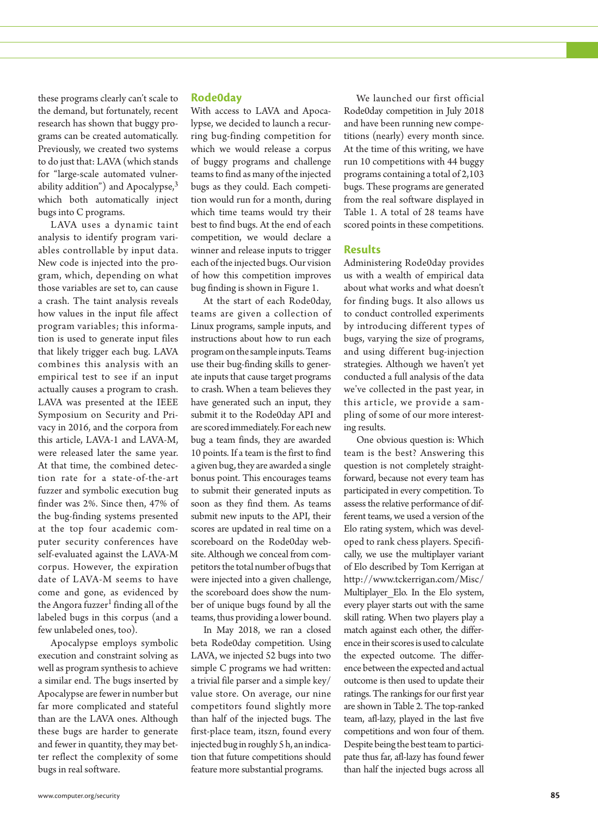these programs clearly can't scale to the demand, but fortunately, recent research has shown that buggy programs can be created automatically. Previously, we created two systems to do just that: LAVA (which stands for "large-scale automated vulnerability addition") and Apocalypse, $3$ which both automatically inject bugs into C programs.

LAVA uses a dynamic taint analysis to identify program variables controllable by input data. New code is injected into the program, which, depending on what those variables are set to, can cause a crash. The taint analysis reveals how values in the input file affect program variables; this information is used to generate input files that likely trigger each bug. LAVA combines this analysis with an empirical test to see if an input actually causes a program to crash. LAVA was presented at the IEEE Symposium on Security and Privacy in 2016, and the corpora from this article, LAVA-1 and LAVA-M, were released later the same year. At that time, the combined detection rate for a state-of-the-art fuzzer and symbolic execution bug finder was 2%. Since then, 47% of the bug-finding systems presented at the top four academic computer security conferences have self-evaluated against the LAVA-M corpus. However, the expiration date of LAVA-M seems to have come and gone, as evidenced by the Angora fuzzer<sup>1</sup> finding all of the labeled bugs in this corpus (and a few unlabeled ones, too).

Apocalypse employs symbolic execution and constraint solving as well as program synthesis to achieve a similar end. The bugs inserted by Apocalypse are fewer in number but far more complicated and stateful than are the LAVA ones. Although these bugs are harder to generate and fewer in quantity, they may better reflect the complexity of some bugs in real software.

## **Rode0day**

With access to LAVA and Apocalypse, we decided to launch a recurring bug-finding competition for which we would release a corpus of buggy programs and challenge teams to find as many of the injected bugs as they could. Each competition would run for a month, during which time teams would try their best to find bugs. At the end of each competition, we would declare a winner and release inputs to trigger each of the injected bugs. Our vision of how this competition improves bug finding is shown in Figure 1.

At the start of each Rode0day, teams are given a collection of Linux programs, sample inputs, and instructions about how to run each program on the sample inputs. Teams use their bug-finding skills to generate inputs that cause target programs to crash. When a team believes they have generated such an input, they submit it to the Rode0day API and are scored immediately. For each new bug a team finds, they are awarded 10 points. If a team is the first to find a given bug, they are awarded a single bonus point. This encourages teams to submit their generated inputs as soon as they find them. As teams submit new inputs to the API, their scores are updated in real time on a scoreboard on the Rode0day website. Although we conceal from competitors the total number of bugs that were injected into a given challenge, the scoreboard does show the number of unique bugs found by all the teams, thus providing a lower bound.

In May 2018, we ran a closed beta Rode0day competition. Using LAVA, we injected 52 bugs into two simple C programs we had written: a trivial file parser and a simple key/ value store. On average, our nine competitors found slightly more than half of the injected bugs. The first-place team, itszn, found every injected bug in roughly 5 h, an indication that future competitions should feature more substantial programs.

We launched our first official Rode0day competition in July 2018 and have been running new competitions (nearly) every month since. At the time of this writing, we have run 10 competitions with 44 buggy programs containing a total of 2,103 bugs. These programs are generated from the real software displayed in Table 1. A total of 28 teams have scored points in these competitions.

## **Results**

Administering Rode0day provides us with a wealth of empirical data about what works and what doesn't for finding bugs. It also allows us to conduct controlled experiments by introducing different types of bugs, varying the size of programs, and using different bug-injection strategies. Although we haven't yet conducted a full analysis of the data we've collected in the past year, in this article, we provide a sampling of some of our more interesting results.

One obvious question is: Which team is the best? Answering this question is not completely straightforward, because not every team has participated in every competition. To assess the relative performance of different teams, we used a version of the Elo rating system, which was developed to rank chess players. Specifically, we use the multiplayer variant of Elo described by Tom Kerrigan at http://www.tckerrigan.com/Misc/ Multiplayer\_Elo. In the Elo system, every player starts out with the same skill rating. When two players play a match against each other, the difference in their scores is used to calculate the expected outcome. The difference between the expected and actual outcome is then used to update their ratings. The rankings for our first year are shown in Table 2. The top-ranked team, afl-lazy, played in the last five competitions and won four of them. Despite being the best team to participate thus far, afl-lazy has found fewer than half the injected bugs across all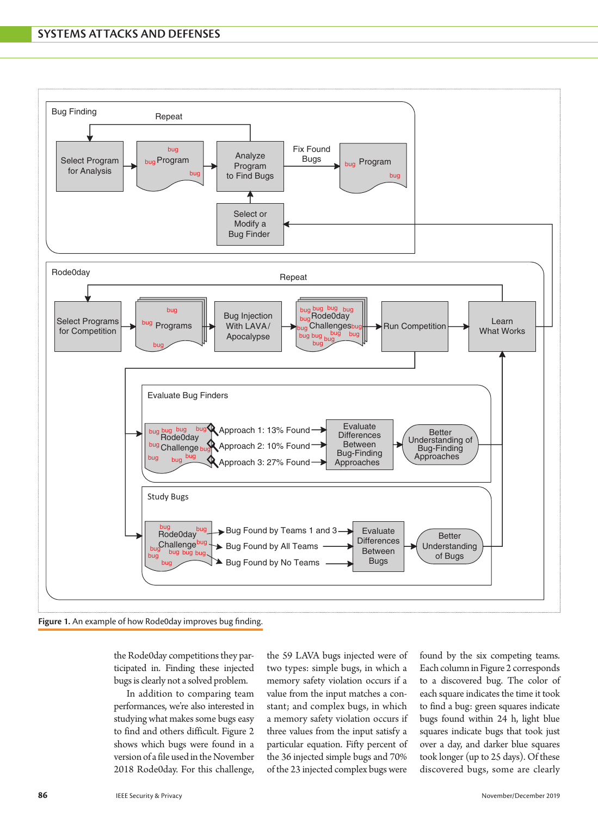

**Figure 1.** An example of how Rode0day improves bug finding.

the Rode0day competitions they participated in. Finding these injected bugs is clearly not a solved problem.

In addition to comparing team performances, we're also interested in studying what makes some bugs easy to find and others difficult. Figure 2 shows which bugs were found in a version of a file used in the November 2018 Rode0day. For this challenge,

the 59 LAVA bugs injected were of two types: simple bugs, in which a memory safety violation occurs if a value from the input matches a constant; and complex bugs, in which a memory safety violation occurs if three values from the input satisfy a particular equation. Fifty percent of the 36 injected simple bugs and 70% of the 23 injected complex bugs were

found by the six competing teams. Each column in Figure 2 corresponds to a discovered bug. The color of each square indicates the time it took to find a bug: green squares indicate bugs found within 24 h, light blue squares indicate bugs that took just over a day, and darker blue squares took longer (up to 25 days). Of these discovered bugs, some are clearly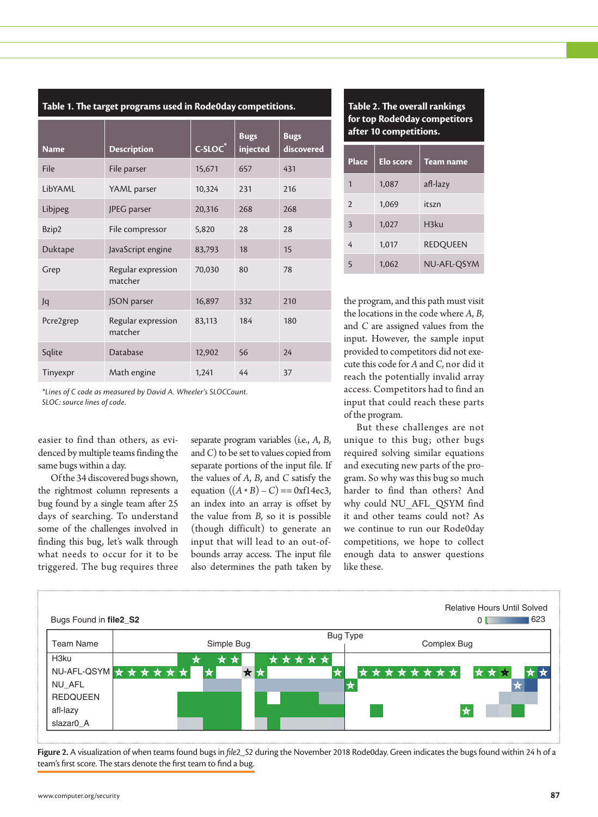| <b>Name</b> | <b>Description</b>            | $C-SLOC*$ | <b>Bugs</b><br>injected | <b>Bugs</b><br>discovered |
|-------------|-------------------------------|-----------|-------------------------|---------------------------|
| File        | File parser                   | 15,671    | 657                     | 431                       |
| LibYAML     | YAML parser                   | 10,324    | 231                     | 216                       |
| Libjpeg     | JPEG parser                   | 20,316    | 268                     | 268                       |
| Bzip2       | File compressor               | 5,820     | 28                      | 28                        |
| Duktape     | JavaScript engine             | 83,793    | 18                      | 15                        |
| Grep        | Regular expression<br>matcher | 70,030    | 80                      | 78                        |
| Jq          | JSON parser                   | 16,897    | 332                     | 210                       |
| Pcre2grep   | Regular expression<br>matcher | 83,113    | 184                     | 180                       |
| Sqlite      | Database                      | 12,902    | 56                      | 24                        |
| Tinyexpr    | Math engine                   | 1,241     | 44                      | 37                        |

**Table 1. The target programs used in Rode0day competitions.**

*\*Lines of C code as measured by David A. Wheeler's SLOCCount. SLOC: source lines of code.*

easier to find than others, as evidenced by multiple teams finding the same bugs within a day.

Of the 34 discovered bugs shown, the rightmost column represents a bug found by a single team after 25 days of searching. To understand some of the challenges involved in finding this bug, let's walk through what needs to occur for it to be triggered. The bug requires three

separate program variables (i.e., *A*, *B*, and *C*) to be set to values copied from separate portions of the input file. If the values of *A*, *B*, and *C* satisfy the equation  $((A * B) - C) = 0$ xf14ec3, an index into an array is offset by the value from *B,* so it is possible (though difficult) to generate an input that will lead to an out-ofbounds array access. The input file also determines the path taken by



| <b>Place</b>   | <b>Elo score</b> | <b>Team name</b> |
|----------------|------------------|------------------|
| 1              | 1,087            | afl-lazy         |
| $\overline{2}$ | 1,069            | itszn            |
| 3              | 1,027            | H3ku             |
| 4              | 1,017            | <b>REDQUEEN</b>  |
| $\overline{5}$ | 1,062            | NU-AFL-QSYM      |

the program, and this path must visit the locations in the code where *A*, *B*, and *C* are assigned values from the input. However, the sample input provided to competitors did not execute this code for *A* and *C,* nor did it reach the potentially invalid array access. Competitors had to find an input that could reach these parts of the program.

But these challenges are not unique to this bug; other bugs required solving similar equations and executing new parts of the program. So why was this bug so much harder to find than others? And why could NU\_AFL\_QSYM find it and other teams could not? As we continue to run our Rode0day competitions, we hope to collect enough data to answer questions like these.



**Figure 2.** A visualization of when teams found bugs in *file2\_S2* during the November 2018 Rode0day. Green indicates the bugs found within 24 h of a team's first score. The stars denote the first team to find a bug.